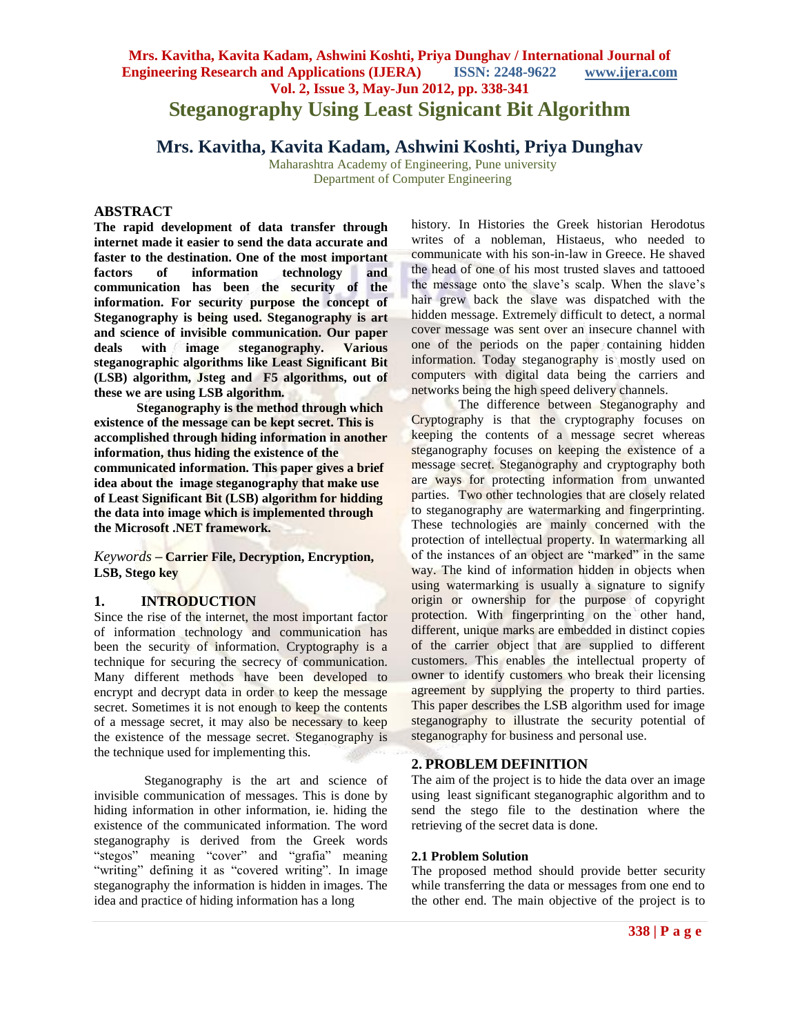# **Mrs. Kavitha, Kavita Kadam, Ashwini Koshti, Priya Dunghav / International Journal of Engineering Research and Applications (IJERA) ISSN: 2248-9622 www.ijera.com Vol. 2, Issue 3, May-Jun 2012, pp. 338-341 Steganography Using Least Signicant Bit Algorithm**

# **Mrs. Kavitha, Kavita Kadam, Ashwini Koshti, Priya Dunghav**

Maharashtra Academy of Engineering, Pune university Department of Computer Engineering

#### **ABSTRACT**

**The rapid development of data transfer through internet made it easier to send the data accurate and faster to the destination. One of the most important factors of information technology and communication has been the security of the information. For security purpose the concept of Steganography is being used. Steganography is art and science of invisible communication. Our paper deals with image steganography. Various steganographic algorithms like Least Significant Bit (LSB) algorithm, Jsteg and F5 algorithms, out of these we are using LSB algorithm.**

 **Steganography is the method through which existence of the message can be kept secret. This is accomplished through hiding information in another information, thus hiding the existence of the communicated information. This paper gives a brief idea about the image steganography that make use of Least Significant Bit (LSB) algorithm for hidding the data into image which is implemented through the Microsoft .NET framework.**

*Keywords* **– Carrier File, Decryption, Encryption, LSB, Stego key**

## **1. INTRODUCTION**

Since the rise of the internet, the most important factor of information technology and communication has been the security of information. Cryptography is a technique for securing the secrecy of communication. Many different methods have been developed to encrypt and decrypt data in order to keep the message secret. Sometimes it is not enough to keep the contents of a message secret, it may also be necessary to keep the existence of the message secret. Steganography is the technique used for implementing this.

Steganography is the art and science of invisible communication of messages. This is done by hiding information in other information, ie. hiding the existence of the communicated information. The word steganography is derived from the Greek words "stegos" meaning "cover" and "grafia" meaning "writing" defining it as "covered writing". In image steganography the information is hidden in images. The idea and practice of hiding information has a long

history. In Histories the Greek historian Herodotus writes of a nobleman, Histaeus, who needed to communicate with his son-in-law in Greece. He shaved the head of one of his most trusted slaves and tattooed the message onto the slave's scalp. When the slave's hair grew back the slave was dispatched with the hidden message. Extremely difficult to detect, a normal cover message was sent over an insecure channel with one of the periods on the paper containing hidden information. Today steganography is mostly used on computers with digital data being the carriers and networks being the high speed delivery channels.

The difference between Steganography and Cryptography is that the cryptography focuses on keeping the contents of a message secret whereas steganography focuses on keeping the existence of a message secret. Steganography and cryptography both are ways for protecting information from unwanted parties. Two other technologies that are closely related to steganography are watermarking and fingerprinting. These technologies are mainly concerned with the protection of intellectual property. In watermarking all of the instances of an object are "marked" in the same way. The kind of information hidden in objects when using watermarking is usually a signature to signify origin or ownership for the purpose of copyright protection. With fingerprinting on the other hand, different, unique marks are embedded in distinct copies of the carrier object that are supplied to different customers. This enables the intellectual property of owner to identify customers who break their licensing agreement by supplying the property to third parties. This paper describes the LSB algorithm used for image steganography to illustrate the security potential of steganography for business and personal use.

## **2. PROBLEM DEFINITION**

The aim of the project is to hide the data over an image using least significant steganographic algorithm and to send the stego file to the destination where the retrieving of the secret data is done.

#### **2.1 Problem Solution**

The proposed method should provide better security while transferring the data or messages from one end to the other end. The main objective of the project is to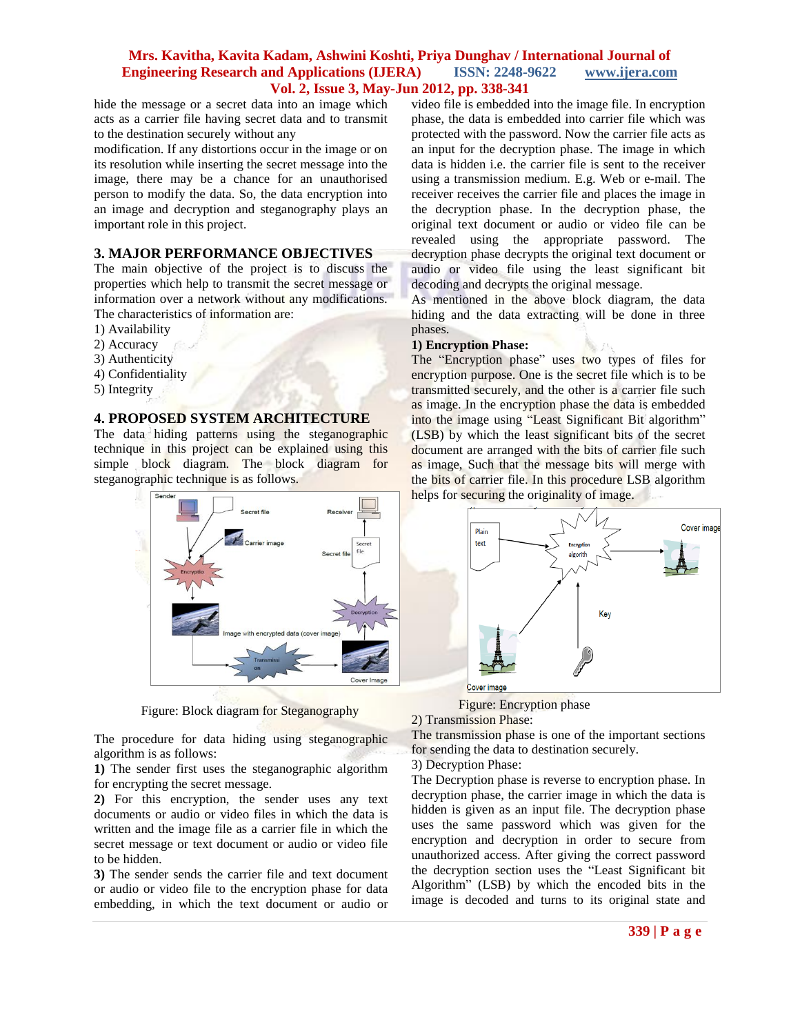## **Mrs. Kavitha, Kavita Kadam, Ashwini Koshti, Priya Dunghav / International Journal of Engineering Research and Applications (IJERA) ISSN: 2248-9622 www.ijera.com Vol. 2, Issue 3, May-Jun 2012, pp. 338-341**

hide the message or a secret data into an image which acts as a carrier file having secret data and to transmit to the destination securely without any

modification. If any distortions occur in the image or on its resolution while inserting the secret message into the image, there may be a chance for an unauthorised person to modify the data. So, the data encryption into an image and decryption and steganography plays an important role in this project.

# **3. MAJOR PERFORMANCE OBJECTIVES**

The main objective of the project is to discuss the properties which help to transmit the secret message or information over a network without any modifications. The characteristics of information are:

- 1) Availability
- 2) Accuracy
- 3) Authenticity
- 4) Confidentiality
- 5) Integrity

## **4. PROPOSED SYSTEM ARCHITECTURE**

The data hiding patterns using the steganographic technique in this project can be explained using this simple block diagram. The block diagram for steganographic technique is as follows.



Figure: Block diagram for Steganography

The procedure for data hiding using steganographic algorithm is as follows:

**1)** The sender first uses the steganographic algorithm for encrypting the secret message.

**2)** For this encryption, the sender uses any text documents or audio or video files in which the data is written and the image file as a carrier file in which the secret message or text document or audio or video file to be hidden.

**3)** The sender sends the carrier file and text document or audio or video file to the encryption phase for data embedding, in which the text document or audio or

video file is embedded into the image file. In encryption phase, the data is embedded into carrier file which was protected with the password. Now the carrier file acts as an input for the decryption phase. The image in which data is hidden i.e. the carrier file is sent to the receiver using a transmission medium. E.g. Web or e-mail. The receiver receives the carrier file and places the image in the decryption phase. In the decryption phase, the original text document or audio or video file can be revealed using the appropriate password. The decryption phase decrypts the original text document or audio or video file using the least significant bit decoding and decrypts the original message.

As mentioned in the above block diagram, the data hiding and the data extracting will be done in three phases.

#### **1) Encryption Phase:**

The "Encryption phase" uses two types of files for encryption purpose. One is the secret file which is to be transmitted securely, and the other is a carrier file such as image. In the encryption phase the data is embedded into the image using "Least Significant Bit algorithm" (LSB) by which the least significant bits of the secret document are arranged with the bits of carrier file such as image, Such that the message bits will merge with the bits of carrier file. In this procedure LSB algorithm helps for securing the originality of image.



Figure: Encryption phase

2) Transmission Phase:

The transmission phase is one of the important sections for sending the data to destination securely.

3) Decryption Phase:

The Decryption phase is reverse to encryption phase. In decryption phase, the carrier image in which the data is hidden is given as an input file. The decryption phase uses the same password which was given for the encryption and decryption in order to secure from unauthorized access. After giving the correct password the decryption section uses the "Least Significant bit Algorithm" (LSB) by which the encoded bits in the image is decoded and turns to its original state and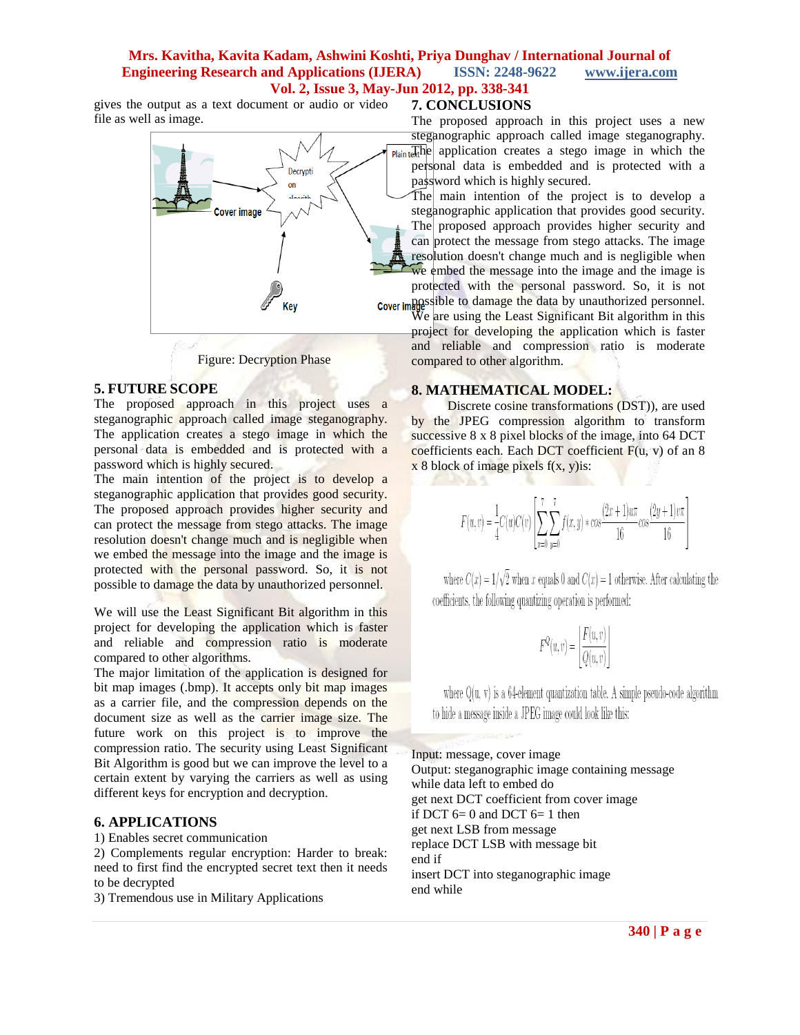# **Mrs. Kavitha, Kavita Kadam, Ashwini Koshti, Priya Dunghav / International Journal of Engineering Research and Applications (IJERA) ISSN: 2248-9622 www.ijera.com Vol. 2, Issue 3, May-Jun 2012, pp. 338-341**

gives the output as a text document or audio or video file as well as image.



Figure: Decryption Phase

## **5. FUTURE SCOPE**

The proposed approach in this project uses a steganographic approach called image steganography. The application creates a stego image in which the personal data is embedded and is protected with a password which is highly secured.

The main intention of the project is to develop a steganographic application that provides good security. The proposed approach provides higher security and can protect the message from stego attacks. The image resolution doesn't change much and is negligible when we embed the message into the image and the image is protected with the personal password. So, it is not possible to damage the data by unauthorized personnel.

We will use the Least Significant Bit algorithm in this project for developing the application which is faster and reliable and compression ratio is moderate compared to other algorithms.

The major limitation of the application is designed for bit map images (.bmp). It accepts only bit map images as a carrier file, and the compression depends on the document size as well as the carrier image size. The future work on this project is to improve the compression ratio. The security using Least Significant Bit Algorithm is good but we can improve the level to a certain extent by varying the carriers as well as using different keys for encryption and decryption.

## **6. APPLICATIONS**

1) Enables secret communication

2) Complements regular encryption: Harder to break: need to first find the encrypted secret text then it needs to be decrypted

3) Tremendous use in Military Applications

#### **7. CONCLUSIONS**

The proposed approach in this project uses a new steganographic approach called image steganography.  $\overline{P_{\text{lain}}\text{t}}$  application creates a stego image in which the personal data is embedded and is protected with a password which is highly secured.

The main intention of the project is to develop a steganographic application that provides good security. The proposed approach provides higher security and can protect the message from stego attacks. The image resolution doesn't change much and is negligible when we embed the message into the image and the image is protected with the personal password. So, it is not possible to damage the data by unauthorized personnel.

We are using the Least Significant Bit algorithm in this project for developing the application which is faster and reliable and compression ratio is moderate compared to other algorithm.

#### **8. MATHEMATICAL MODEL:**

MA S

 Discrete cosine transformations (DST)), are used by the JPEG compression algorithm to transform successive 8 x 8 pixel blocks of the image, into 64 DCT coefficients each. Each DCT coefficient  $F(u, v)$  of an 8  $x 8$  block of image pixels  $f(x, y)$ is:

$$
F(u,v) = \frac{1}{4}C(u)C(v)\left[\sum_{x=0}^{7}\sum_{y=0}^{7}f(x,y)*cos\frac{(2x+1)u\pi}{16}cos\frac{(2y+1)v\pi}{16}\right]
$$

where  $C(x) = 1/\sqrt{2}$  when x equals 0 and  $C(x) = 1$  otherwise. After calculating the coefficients, the following quantizing operation is performed:

$$
F^{Q}(u,v) = \left| \frac{F(u,v)}{Q(u,v)} \right|
$$

where  $Q(u, v)$  is a 64-element quantization table. A simple pseudo-code algorithm to hide a message inside a JPEG image could look like this:

Input: message, cover image Output: steganographic image containing message while data left to embed do get next DCT coefficient from cover image if DCT  $6=0$  and DCT  $6=1$  then get next LSB from message replace DCT LSB with message bit end if insert DCT into steganographic image end while